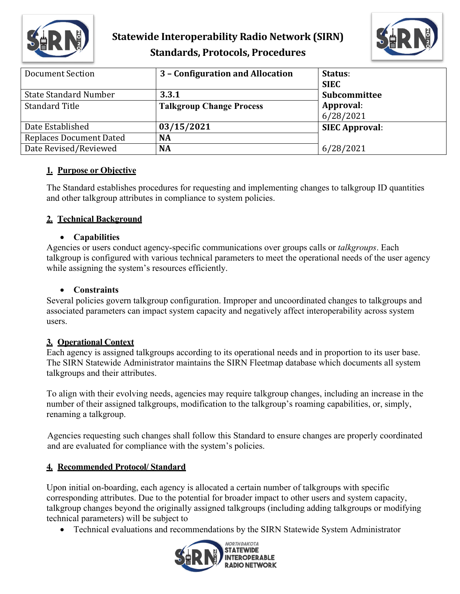

## **Statewide Interoperability Radio Network (SIRN) Standards, Protocols, Procedures**



| Document Section               | 3 - Configuration and Allocation | Status:<br><b>SIEC</b> |
|--------------------------------|----------------------------------|------------------------|
| <b>State Standard Number</b>   | 3.3.1                            | Subcommittee           |
| <b>Standard Title</b>          | <b>Talkgroup Change Process</b>  | Approval:<br>6/28/2021 |
| Date Established               | 03/15/2021                       | <b>SIEC Approval:</b>  |
| <b>Replaces Document Dated</b> | NA                               |                        |
| Date Revised/Reviewed          | <b>NA</b>                        | 6/28/2021              |

### **1. Purpose or Objective**

The Standard establishes procedures for requesting and implementing changes to talkgroup ID quantities and other talkgroup attributes in compliance to system policies.

### **2. Technical Background**

### • **Capabilities**

Agencies or users conduct agency-specific communications over groups calls or *talkgroups*. Each talkgroup is configured with various technical parameters to meet the operational needs of the user agency while assigning the system's resources efficiently.

### • **Constraints**

Several policies govern talkgroup configuration. Improper and uncoordinated changes to talkgroups and associated parameters can impact system capacity and negatively affect interoperability across system users.

### **3. Operational Context**

Each agency is assigned talkgroups according to its operational needs and in proportion to its user base. The SIRN Statewide Administrator maintains the SIRN Fleetmap database which documents all system talkgroups and their attributes.

To align with their evolving needs, agencies may require talkgroup changes, including an increase in the number of their assigned talkgroups, modification to the talkgroup's roaming capabilities, or, simply, renaming a talkgroup.

Agencies requesting such changes shall follow this Standard to ensure changes are properly coordinated and are evaluated for compliance with the system's policies.

### **4. Recommended Protocol/ Standard**

Upon initial on-boarding, each agency is allocated a certain number of talkgroups with specific corresponding attributes. Due to the potential for broader impact to other users and system capacity, talkgroup changes beyond the originally assigned talkgroups (including adding talkgroups or modifying technical parameters) will be subject to

• Technical evaluations and recommendations by the SIRN Statewide System Administrator

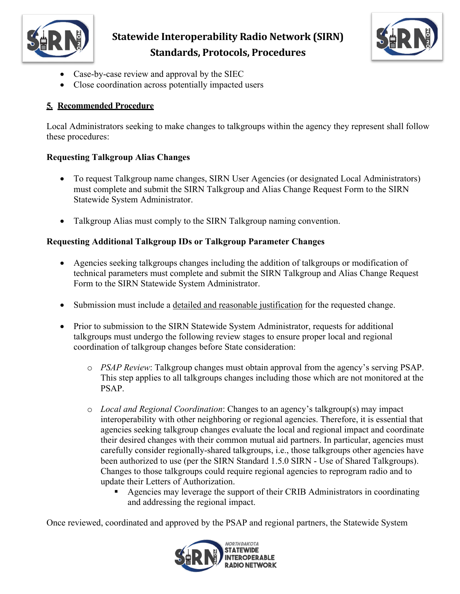

# **Statewide Interoperability Radio Network (SIRN) Standards, Protocols, Procedures**



- Case-by-case review and approval by the SIEC
- Close coordination across potentially impacted users

## **5. Recommended Procedure**

Local Administrators seeking to make changes to talkgroups within the agency they represent shall follow these procedures:

## **Requesting Talkgroup Alias Changes**

- To request Talkgroup name changes, SIRN User Agencies (or designated Local Administrators) must complete and submit the SIRN Talkgroup and Alias Change Request Form to the SIRN Statewide System Administrator.
- Talkgroup Alias must comply to the SIRN Talkgroup naming convention.

## **Requesting Additional Talkgroup IDs or Talkgroup Parameter Changes**

- Agencies seeking talkgroups changes including the addition of talkgroups or modification of technical parameters must complete and submit the SIRN Talkgroup and Alias Change Request Form to the SIRN Statewide System Administrator.
- Submission must include a detailed and reasonable justification for the requested change.
- Prior to submission to the SIRN Statewide System Administrator, requests for additional talkgroups must undergo the following review stages to ensure proper local and regional coordination of talkgroup changes before State consideration:
	- o *PSAP Review*: Talkgroup changes must obtain approval from the agency's serving PSAP. This step applies to all talkgroups changes including those which are not monitored at the PSAP.
	- o *Local and Regional Coordination*: Changes to an agency's talkgroup(s) may impact interoperability with other neighboring or regional agencies. Therefore, it is essential that agencies seeking talkgroup changes evaluate the local and regional impact and coordinate their desired changes with their common mutual aid partners. In particular, agencies must carefully consider regionally-shared talkgroups, i.e., those talkgroups other agencies have been authorized to use (per the SIRN Standard 1.5.0 SIRN - Use of Shared Talkgroups). Changes to those talkgroups could require regional agencies to reprogram radio and to update their Letters of Authorization.
		- Agencies may leverage the support of their CRIB Administrators in coordinating and addressing the regional impact.

Once reviewed, coordinated and approved by the PSAP and regional partners, the Statewide System